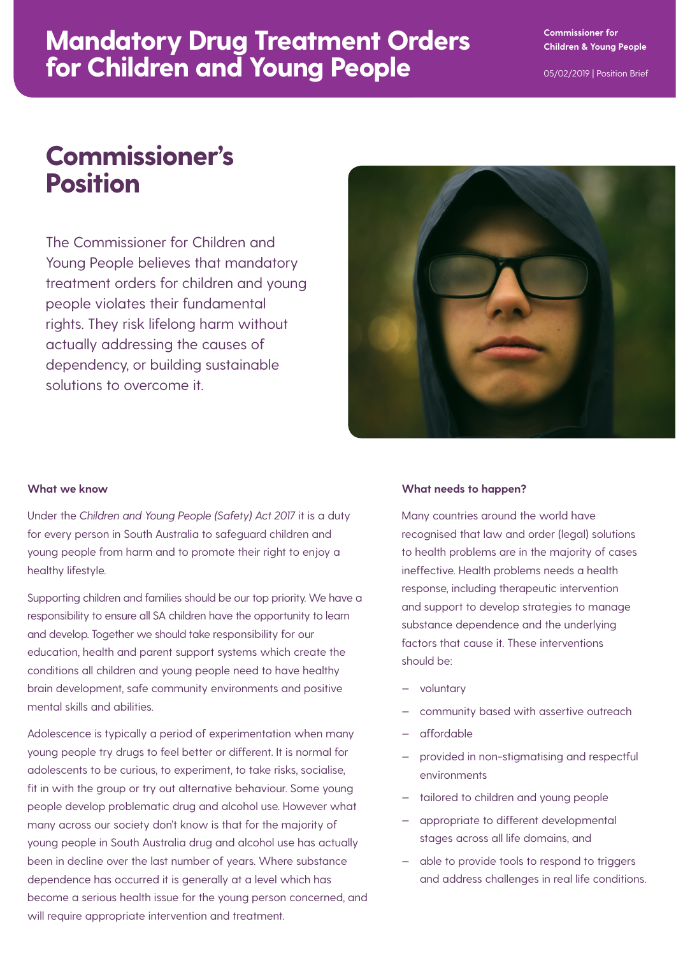## **Mandatory Drug Treatment Orders for Children and Young People**

# **Commissioner's Position**

The Commissioner for Children and Young People believes that mandatory treatment orders for children and young people violates their fundamental rights. They risk lifelong harm without actually addressing the causes of dependency, or building sustainable solutions to overcome it.



#### **What we know**

Under the *Children and Young People (Safety) Act 2017* it is a duty for every person in South Australia to safeguard children and young people from harm and to promote their right to enjoy a healthy lifestyle.

Supporting children and families should be our top priority. We have a responsibility to ensure all SA children have the opportunity to learn and develop. Together we should take responsibility for our education, health and parent support systems which create the conditions all children and young people need to have healthy brain development, safe community environments and positive mental skills and abilities.

Adolescence is typically a period of experimentation when many young people try drugs to feel better or different. It is normal for adolescents to be curious, to experiment, to take risks, socialise, fit in with the group or try out alternative behaviour. Some young people develop problematic drug and alcohol use. However what many across our society don't know is that for the majority of young people in South Australia drug and alcohol use has actually been in decline over the last number of years. Where substance dependence has occurred it is generally at a level which has become a serious health issue for the young person concerned, and will require appropriate intervention and treatment.

#### **What needs to happen?**

Many countries around the world have recognised that law and order (legal) solutions to health problems are in the majority of cases ineffective. Health problems needs a health response, including therapeutic intervention and support to develop strategies to manage substance dependence and the underlying factors that cause it. These interventions should be:

- voluntary
- community based with assertive outreach
- affordable
- provided in non-stigmatising and respectful environments
- tailored to children and young people
- appropriate to different developmental stages across all life domains, and
- able to provide tools to respond to triggers and address challenges in real life conditions.